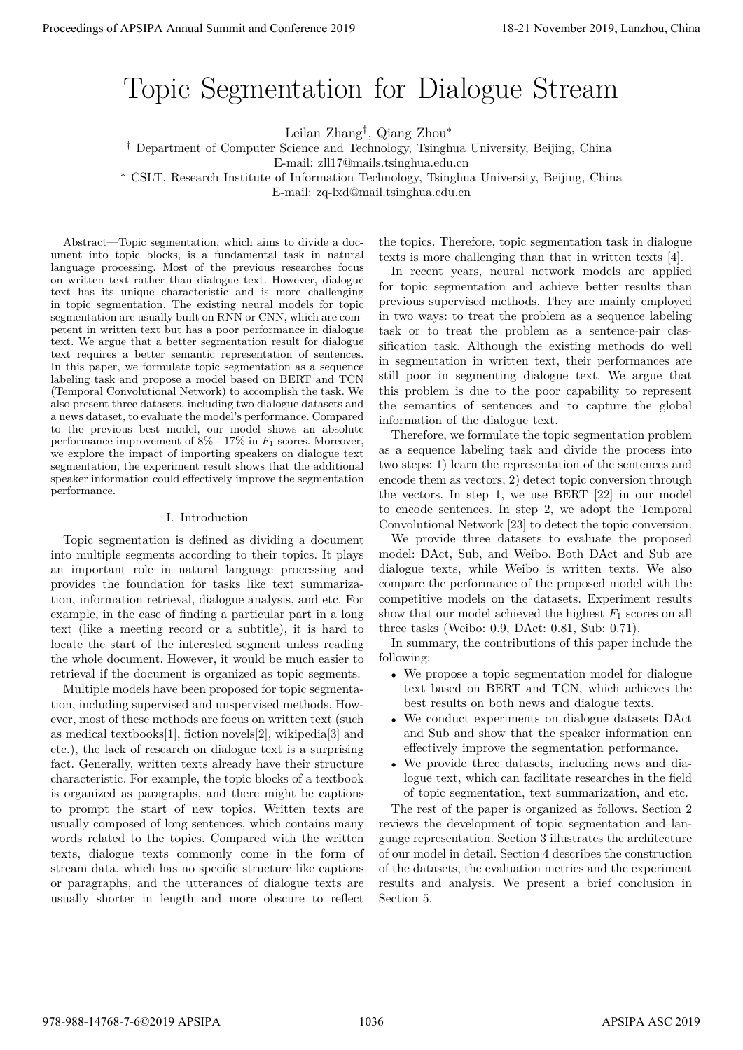# Topic Segmentation for Dialogue Stream

Leilan Zhang*†* , Qiang Zhou*<sup>∗</sup>*

*†* Department of Computer Science and Technology, Tsinghua University, Beijing, China

E-mail: zll17@mails.tsinghua.edu.cn

*<sup>∗</sup>* CSLT, Research Institute of Information Technology, Tsinghua University, Beijing, China

E-mail: zq-lxd@mail.tsinghua.edu.cn

Abstract—Topic segmentation, which aims to divide a document into topic blocks, is a fundamental task in natural language processing. Most of the previous researches focus on written text rather than dialogue text. However, dialogue text has its unique characteristic and is more challenging in topic segmentation. The existing neural models for topic segmentation are usually built on RNN or CNN, which are competent in written text but has a poor performance in dialogue text. We argue that a better segmentation result for dialogue text requires a better semantic representation of sentences. In this paper, we formulate topic segmentation as a sequence labeling task and propose a model based on BERT and TCN (Temporal Convolutional Network) to accomplish the task. We also present three datasets, including two dialogue datasets and a news dataset, to evaluate the model's performance. Compared to the previous best model, our model shows an absolute performance improvement of 8% - 17% in *F*<sup>1</sup> scores. Moreover, we explore the impact of importing speakers on dialogue text segmentation, the experiment result shows that the additional speaker information could effectively improve the segmentation performance. **Proceedings of APSIPA Annual Summit and Conference 2019**<br> **Conference 2019**<br> **Conference 2019**<br> **Conference 2019**<br> **Conference 2019**<br> **Conference 2019**<br> **Conference 2019**<br> **Conference 2019**<br> **Conference 2019**<br> **Conferenc** 

# I. Introduction

Topic segmentation is defined as dividing a document into multiple segments according to their topics. It plays an important role in natural language processing and provides the foundation for tasks like text summarization, information retrieval, dialogue analysis, and etc. For example, in the case of finding a particular part in a long text (like a meeting record or a subtitle), it is hard to locate the start of the interested segment unless reading the whole document. However, it would be much easier to retrieval if the document is organized as topic segments.

Multiple models have been proposed for topic segmentation, including supervised and unspervised methods. However, most of these methods are focus on written text (such as medical textbooks[1], fiction novels[2], wikipedia[3] and etc.), the lack of research on dialogue text is a surprising fact. Generally, written texts already have their structure characteristic. For example, the topic blocks of a textbook is organized as paragraphs, and there might be captions to prompt the start of new topics. Written texts are usually composed of long sentences, which contains many words related to the topics. Compared with the written texts, dialogue texts commonly come in the form of stream data, which has no specific structure like captions or paragraphs, and the utterances of dialogue texts are usually shorter in length and more obscure to reflect

the topics. Therefore, topic segmentation task in dialogue texts is more challenging than that in written texts [4].

In recent years, neural network models are applied for topic segmentation and achieve better results than previous supervised methods. They are mainly employed in two ways: to treat the problem as a sequence labeling task or to treat the problem as a sentence-pair classification task. Although the existing methods do well in segmentation in written text, their performances are still poor in segmenting dialogue text. We argue that this problem is due to the poor capability to represent the semantics of sentences and to capture the global information of the dialogue text.

Therefore, we formulate the topic segmentation problem as a sequence labeling task and divide the process into two steps: 1) learn the representation of the sentences and encode them as vectors; 2) detect topic conversion through the vectors. In step 1, we use BERT [22] in our model to encode sentences. In step 2, we adopt the Temporal Convolutional Network [23] to detect the topic conversion.

We provide three datasets to evaluate the proposed model: DAct, Sub, and Weibo. Both DAct and Sub are dialogue texts, while Weibo is written texts. We also compare the performance of the proposed model with the competitive models on the datasets. Experiment results show that our model achieved the highest  $F_1$  scores on all three tasks (Weibo: 0.9, DAct: 0.81, Sub: 0.71).

In summary, the contributions of this paper include the following:

- *•* We propose a topic segmentation model for dialogue text based on BERT and TCN, which achieves the best results on both news and dialogue texts.
- *•* We conduct experiments on dialogue datasets DAct and Sub and show that the speaker information can effectively improve the segmentation performance.
- We provide three datasets, including news and dialogue text, which can facilitate researches in the field of topic segmentation, text summarization, and etc.

The rest of the paper is organized as follows. Section 2 reviews the development of topic segmentation and language representation. Section 3 illustrates the architecture of our model in detail. Section 4 describes the construction of the datasets, the evaluation metrics and the experiment results and analysis. We present a brief conclusion in Section 5.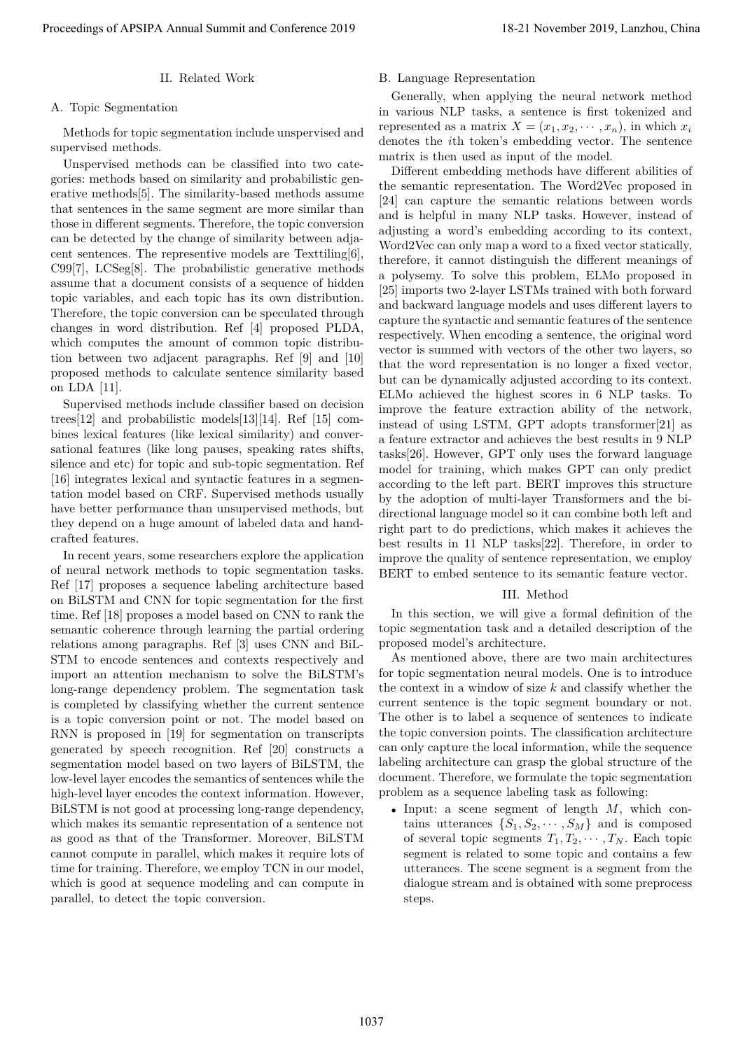# II. Related Work

#### A. Topic Segmentation

Methods for topic segmentation include unspervised and supervised methods.

Unspervised methods can be classified into two categories: methods based on similarity and probabilistic generative methods[5]. The similarity-based methods assume that sentences in the same segment are more similar than those in different segments. Therefore, the topic conversion can be detected by the change of similarity between adjacent sentences. The representive models are Texttiling[6], C99[7], LCSeg[8]. The probabilistic generative methods assume that a document consists of a sequence of hidden topic variables, and each topic has its own distribution. Therefore, the topic conversion can be speculated through changes in word distribution. Ref [4] proposed PLDA, which computes the amount of common topic distribution between two adjacent paragraphs. Ref [9] and [10] proposed methods to calculate sentence similarity based on LDA [11].

Supervised methods include classifier based on decision trees[12] and probabilistic models[13][14]. Ref [15] combines lexical features (like lexical similarity) and conversational features (like long pauses, speaking rates shifts, silence and etc) for topic and sub-topic segmentation. Ref [16] integrates lexical and syntactic features in a segmentation model based on CRF. Supervised methods usually have better performance than unsupervised methods, but they depend on a huge amount of labeled data and handcrafted features.

In recent years, some researchers explore the application of neural network methods to topic segmentation tasks. Ref [17] proposes a sequence labeling architecture based on BiLSTM and CNN for topic segmentation for the first time. Ref [18] proposes a model based on CNN to rank the semantic coherence through learning the partial ordering relations among paragraphs. Ref [3] uses CNN and BiL-STM to encode sentences and contexts respectively and import an attention mechanism to solve the BiLSTM's long-range dependency problem. The segmentation task is completed by classifying whether the current sentence is a topic conversion point or not. The model based on RNN is proposed in [19] for segmentation on transcripts generated by speech recognition. Ref [20] constructs a segmentation model based on two layers of BiLSTM, the low-level layer encodes the semantics of sentences while the high-level layer encodes the context information. However, BiLSTM is not good at processing long-range dependency, which makes its semantic representation of a sentence not as good as that of the Transformer. Moreover, BiLSTM cannot compute in parallel, which makes it require lots of time for training. Therefore, we employ TCN in our model, which is good at sequence modeling and can compute in parallel, to detect the topic conversion.

# B. Language Representation

Generally, when applying the neural network method in various NLP tasks, a sentence is first tokenized and represented as a matrix  $X = (x_1, x_2, \dots, x_n)$ , in which  $x_i$ denotes the *i*th token's embedding vector. The sentence matrix is then used as input of the model.

Different embedding methods have different abilities of the semantic representation. The Word2Vec proposed in [24] can capture the semantic relations between words and is helpful in many NLP tasks. However, instead of adjusting a word's embedding according to its context, Word2Vec can only map a word to a fixed vector statically, therefore, it cannot distinguish the different meanings of a polysemy. To solve this problem, ELMo proposed in [25] imports two 2-layer LSTMs trained with both forward and backward language models and uses different layers to capture the syntactic and semantic features of the sentence respectively. When encoding a sentence, the original word vector is summed with vectors of the other two layers, so that the word representation is no longer a fixed vector, but can be dynamically adjusted according to its context. ELMo achieved the highest scores in 6 NLP tasks. To improve the feature extraction ability of the network, instead of using LSTM, GPT adopts transformer[21] as a feature extractor and achieves the best results in 9 NLP tasks[26]. However, GPT only uses the forward language model for training, which makes GPT can only predict according to the left part. BERT improves this structure by the adoption of multi-layer Transformers and the bidirectional language model so it can combine both left and right part to do predictions, which makes it achieves the best results in 11 NLP tasks[22]. Therefore, in order to improve the quality of sentence representation, we employ BERT to embed sentence to its semantic feature vector. Proceeding of APSIPA Annual Summit and Conference 2019 18-21 November 2019 18-21 November 2019 18-21 November 2019 18-21 November 2019 18-21 November 2019 18-21 November 2019 18-21 November 2019 18-21 November 2019 18-21

# III. Method

In this section, we will give a formal definition of the topic segmentation task and a detailed description of the proposed model's architecture.

As mentioned above, there are two main architectures for topic segmentation neural models. One is to introduce the context in a window of size *k* and classify whether the current sentence is the topic segment boundary or not. The other is to label a sequence of sentences to indicate the topic conversion points. The classification architecture can only capture the local information, while the sequence labeling architecture can grasp the global structure of the document. Therefore, we formulate the topic segmentation problem as a sequence labeling task as following:

*•* Input: a scene segment of length *M*, which contains utterances  $\{S_1, S_2, \cdots, S_M\}$  and is composed of several topic segments  $T_1, T_2, \cdots, T_N$ . Each topic segment is related to some topic and contains a few utterances. The scene segment is a segment from the dialogue stream and is obtained with some preprocess steps.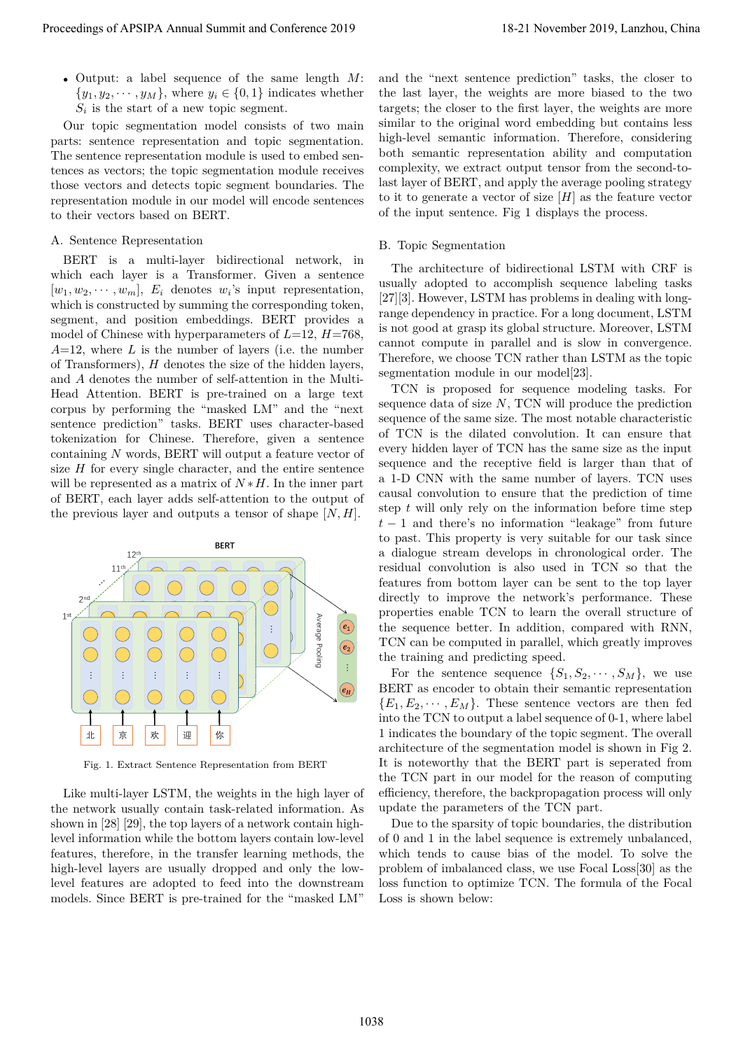*•* Output: a label sequence of the same length *M*:  $\{y_1, y_2, \dots, y_M\}$ , where  $y_i \in \{0, 1\}$  indicates whether  $S_i$  is the start of a new topic segment.

Our topic segmentation model consists of two main parts: sentence representation and topic segmentation. The sentence representation module is used to embed sentences as vectors; the topic segmentation module receives those vectors and detects topic segment boundaries. The representation module in our model will encode sentences to their vectors based on BERT.

# A. Sentence Representation

BERT is a multi-layer bidirectional network, in which each layer is a Transformer. Given a sentence  $[w_1, w_2, \cdots, w_m],$   $E_i$  denotes  $w_i$ 's input representation, which is constructed by summing the corresponding token, segment, and position embeddings. BERT provides a model of Chinese with hyperparameters of *L*=12, *H*=768, *A*=12, where *L* is the number of layers (i.e. the number of Transformers), *H* denotes the size of the hidden layers, and *A* denotes the number of self-attention in the Multi-Head Attention. BERT is pre-trained on a large text corpus by performing the "masked LM" and the "next sentence prediction" tasks. BERT uses character-based tokenization for Chinese. Therefore, given a sentence containing *N* words, BERT will output a feature vector of size *H* for every single character, and the entire sentence will be represented as a matrix of  $N * H$ . In the inner part of BERT, each layer adds self-attention to the output of the previous layer and outputs a tensor of shape [*N, H*].



Fig. 1. Extract Sentence Representation from BERT

Like multi-layer LSTM, the weights in the high layer of the network usually contain task-related information. As shown in [28] [29], the top layers of a network contain highlevel information while the bottom layers contain low-level features, therefore, in the transfer learning methods, the high-level layers are usually dropped and only the lowlevel features are adopted to feed into the downstream models. Since BERT is pre-trained for the "masked LM"

and the "next sentence prediction" tasks, the closer to the last layer, the weights are more biased to the two targets; the closer to the first layer, the weights are more similar to the original word embedding but contains less high-level semantic information. Therefore, considering both semantic representation ability and computation complexity, we extract output tensor from the second-tolast layer of BERT, and apply the average pooling strategy to it to generate a vector of size [*H*] as the feature vector of the input sentence. Fig 1 displays the process.

## B. Topic Segmentation

The architecture of bidirectional LSTM with CRF is usually adopted to accomplish sequence labeling tasks [27][3]. However, LSTM has problems in dealing with longrange dependency in practice. For a long document, LSTM is not good at grasp its global structure. Moreover, LSTM cannot compute in parallel and is slow in convergence. Therefore, we choose TCN rather than LSTM as the topic segmentation module in our model[23].

TCN is proposed for sequence modeling tasks. For sequence data of size *N*, TCN will produce the prediction sequence of the same size. The most notable characteristic of TCN is the dilated convolution. It can ensure that every hidden layer of TCN has the same size as the input sequence and the receptive field is larger than that of a 1-D CNN with the same number of layers. TCN uses causal convolution to ensure that the prediction of time step *t* will only rely on the information before time step *t −* 1 and there's no information "leakage" from future to past. This property is very suitable for our task since a dialogue stream develops in chronological order. The residual convolution is also used in TCN so that the features from bottom layer can be sent to the top layer directly to improve the network's performance. These properties enable TCN to learn the overall structure of the sequence better. In addition, compared with RNN, TCN can be computed in parallel, which greatly improves the training and predicting speed. Proceedings of APSIPA Annual Summit and Conference 2019<br>  $\frac{1}{2}$  Origins of Apsiral Summit and Conference 2019<br>  $\frac{1}{2}$  Origins of Apsiral Summit and Conference 2019<br>  $\frac{1}{2}$  Origins of Apsiral Summit and Conference

For the sentence sequence  $\{S_1, S_2, \cdots, S_M\}$ , we use BERT as encoder to obtain their semantic representation  ${E_1, E_2, \cdots, E_M}$ . These sentence vectors are then fed into the TCN to output a label sequence of 0-1, where label 1 indicates the boundary of the topic segment. The overall architecture of the segmentation model is shown in Fig 2. It is noteworthy that the BERT part is seperated from the TCN part in our model for the reason of computing efficiency, therefore, the backpropagation process will only update the parameters of the TCN part.

Due to the sparsity of topic boundaries, the distribution of 0 and 1 in the label sequence is extremely unbalanced, which tends to cause bias of the model. To solve the problem of imbalanced class, we use Focal Loss[30] as the loss function to optimize TCN. The formula of the Focal Loss is shown below: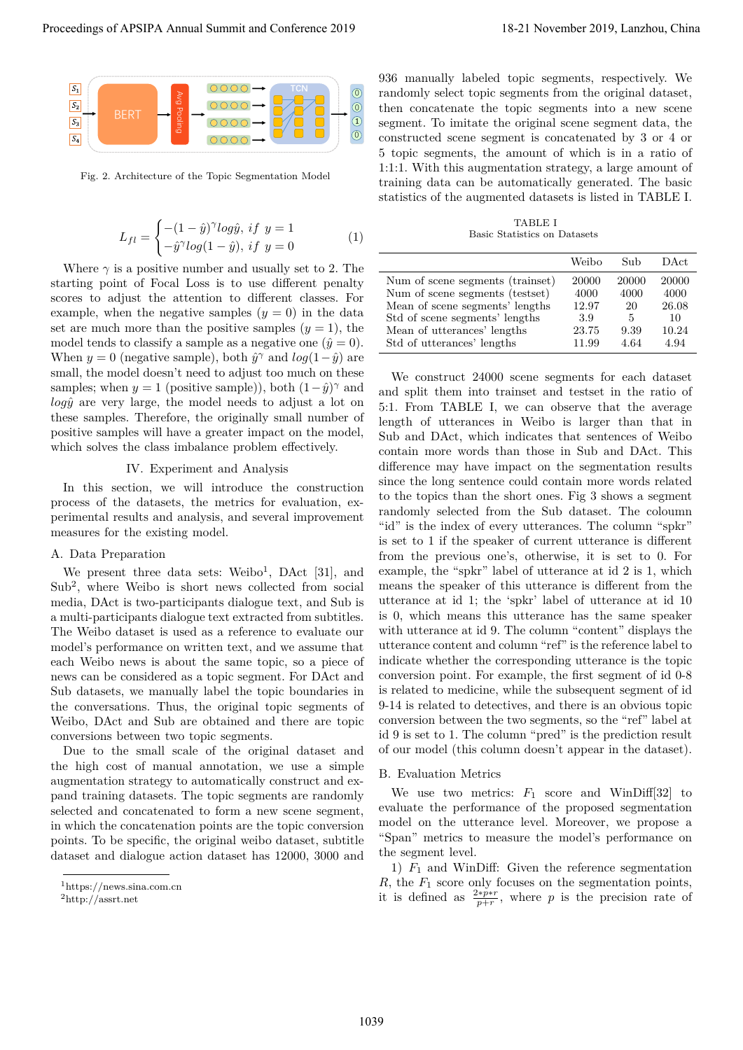

Fig. 2. Architecture of the Topic Segmentation Model

$$
L_{fl} = \begin{cases} -(1 - \hat{y})^{\gamma} log \hat{y}, \; if \; y = 1\\ -\hat{y}^{\gamma} log (1 - \hat{y}), \; if \; y = 0 \end{cases} \tag{1}
$$

Where  $\gamma$  is a positive number and usually set to 2. The starting point of Focal Loss is to use different penalty scores to adjust the attention to different classes. For example, when the negative samples  $(y = 0)$  in the data set are much more than the positive samples  $(y = 1)$ , the model tends to classify a sample as a negative one  $(\hat{y}=0)$ . When  $y = 0$  (negative sample), both  $\hat{y}^{\gamma}$  and  $log(1-\hat{y})$  are small, the model doesn't need to adjust too much on these samples; when  $y = 1$  (positive sample)), both  $(1 - \hat{y})^{\gamma}$  and *logy*ˆ are very large, the model needs to adjust a lot on these samples. Therefore, the originally small number of positive samples will have a greater impact on the model, which solves the class imbalance problem effectively.

## IV. Experiment and Analysis

In this section, we will introduce the construction process of the datasets, the metrics for evaluation, experimental results and analysis, and several improvement measures for the existing model.

#### A. Data Preparation

We present three data sets:  $Weibo<sup>1</sup>$ ,  $DAct$  [31], and Sub<sup>2</sup>, where Weibo is short news collected from social media, DAct is two-participants dialogue text, and Sub is a multi-participants dialogue text extracted from subtitles. The Weibo dataset is used as a reference to evaluate our model's performance on written text, and we assume that each Weibo news is about the same topic, so a piece of news can be considered as a topic segment. For DAct and Sub datasets, we manually label the topic boundaries in the conversations. Thus, the original topic segments of Weibo, DAct and Sub are obtained and there are topic conversions between two topic segments.

Due to the small scale of the original dataset and the high cost of manual annotation, we use a simple augmentation strategy to automatically construct and expand training datasets. The topic segments are randomly selected and concatenated to form a new scene segment, in which the concatenation points are the topic conversion points. To be specific, the original weibo dataset, subtitle dataset and dialogue action dataset has 12000, 3000 and

936 manually labeled topic segments, respectively. We randomly select topic segments from the original dataset, then concatenate the topic segments into a new scene segment. To imitate the original scene segment data, the constructed scene segment is concatenated by 3 or 4 or 5 topic segments, the amount of which is in a ratio of 1:1:1. With this augmentation strategy, a large amount of training data can be automatically generated. The basic statistics of the augmented datasets is listed in TABLE I.

TABLE I Basic Statistics on Datasets

|                                  | Weibo | Sub   | DAct. |
|----------------------------------|-------|-------|-------|
| Num of scene segments (trainset) | 20000 | 20000 | 20000 |
| Num of scene segments (testset)  | 4000  | 4000  | 4000  |
| Mean of scene segments' lengths  | 12.97 | 20    | 26.08 |
| Std of scene segments' lengths   | 3.9   | 5     | 10    |
| Mean of utterances' lengths      | 23.75 | 9.39  | 10.24 |
| Std of utterances' lengths       | 11.99 | 4.64  | 4.94  |

We construct 24000 scene segments for each dataset and split them into trainset and testset in the ratio of 5:1. From TABLE I, we can observe that the average length of utterances in Weibo is larger than that in Sub and DAct, which indicates that sentences of Weibo contain more words than those in Sub and DAct. This difference may have impact on the segmentation results since the long sentence could contain more words related to the topics than the short ones. Fig 3 shows a segment randomly selected from the Sub dataset. The coloumn "id" is the index of every utterances. The column "spkr" is set to 1 if the speaker of current utterance is different from the previous one's, otherwise, it is set to 0. For example, the "spkr" label of utterance at id 2 is 1, which means the speaker of this utterance is different from the utterance at id 1; the 'spkr' label of utterance at id 10 is 0, which means this utterance has the same speaker with utterance at id 9. The column "content" displays the utterance content and column "ref" is the reference label to indicate whether the corresponding utterance is the topic conversion point. For example, the first segment of id 0-8 is related to medicine, while the subsequent segment of id 9-14 is related to detectives, and there is an obvious topic conversion between the two segments, so the "ref" label at id 9 is set to 1. The column "pred" is the prediction result of our model (this column doesn't appear in the dataset). **Proceedings of APSIPA Annual Summit and Conference 2019**<br>  $\sum_{n=1}^{\infty}$ <br>  $\sum_{n=1}^{\infty}$ <br>  $\sum_{n=1}^{\infty}$ <br>  $\sum_{n=1}^{\infty}$ <br>  $\sum_{n=1}^{\infty}$ <br>  $\sum_{n=1}^{\infty}$ <br>  $\sum_{n=1}^{\infty}$ <br>  $\sum_{n=1}^{\infty}$ <br>  $\sum_{n=1}^{\infty}$ <br>  $\sum_{n=1}^{\infty}$ <br>  $\$ 

#### B. Evaluation Metrics

We use two metrics:  $F_1$  score and WinDiff<sup>[32]</sup> to evaluate the performance of the proposed segmentation model on the utterance level. Moreover, we propose a "Span" metrics to measure the model's performance on the segment level.

1)  $F_1$  and WinDiff: Given the reference segmentation *R*, the *F*<sup>1</sup> score only focuses on the segmentation points, it is defined as  $\frac{2*p*r}{p+r}$ , where *p* is the precision rate of

<sup>1</sup>https://news.sina.com.cn

<sup>2</sup>http://assrt.net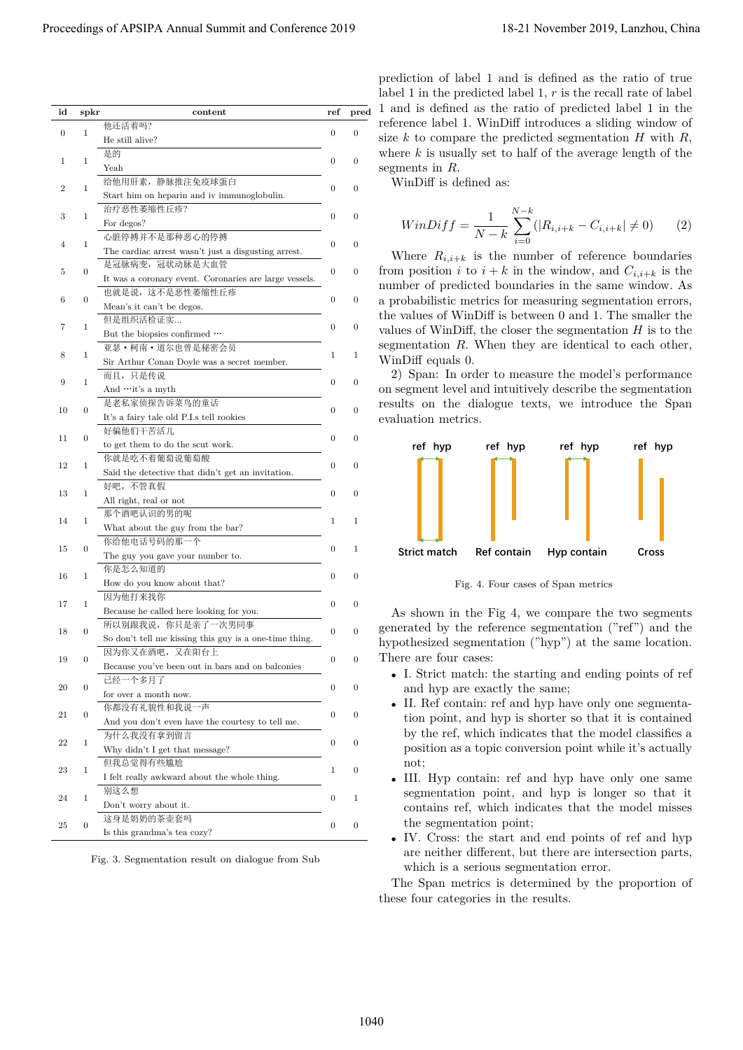|                  | spkr         | content                                                | ref              | pred             |                                                            |
|------------------|--------------|--------------------------------------------------------|------------------|------------------|------------------------------------------------------------|
|                  |              | 他还活着吗?                                                 | $\mathbf{0}$     | $\boldsymbol{0}$ |                                                            |
| $\boldsymbol{0}$ | 1            | He still alive?                                        |                  |                  |                                                            |
|                  |              | 是的                                                     |                  |                  |                                                            |
| 1                | 1            | Yeah                                                   | $\mathbf{0}$     | $\boldsymbol{0}$ |                                                            |
|                  |              | 给他用肝素,静脉推注免疫球蛋白                                        |                  |                  |                                                            |
| $\boldsymbol{2}$ | -1           |                                                        | $\mathbf{0}$     | $\boldsymbol{0}$ |                                                            |
|                  |              | Start him on heparin and iv immunoglobulin.            |                  |                  |                                                            |
|                  |              | 治疗恶性萎缩性丘疹?                                             |                  |                  |                                                            |
| 3                | 1            | For degos?                                             | $\mathbf{0}$     | $\mathbf{0}$     |                                                            |
|                  |              | 心脏停搏并不是那种恶心的停搏                                         |                  |                  |                                                            |
| 4                | 1            |                                                        | $\mathbf{0}$     | $\mathbf{0}$     |                                                            |
|                  |              | The cardiac arrest wasn't just a disgusting arrest.    |                  |                  |                                                            |
| 5                | $\theta$     | 是冠脉病变, 冠状动脉是大血管                                        | $\boldsymbol{0}$ | $\boldsymbol{0}$ |                                                            |
|                  |              | It was a coronary event. Coronaries are large vessels. |                  |                  |                                                            |
|                  |              | 也就是说, 这不是恶性萎缩性丘疹                                       |                  |                  |                                                            |
| 6                | $\theta$     | Mean's it can't be degos.                              | $\mathbf{0}$     | $\boldsymbol{0}$ |                                                            |
|                  |              | 但是组织活检证实                                               |                  |                  |                                                            |
| 7                | -1           |                                                        | $\boldsymbol{0}$ | $\boldsymbol{0}$ |                                                            |
|                  |              | But the biopsies confirmed                             |                  |                  |                                                            |
| 8                | 1            | 亚瑟·柯南·道尔也曾是秘密会员                                        | 1                | $\mathbf{1}$     |                                                            |
|                  |              | Sir Arthur Conan Doyle was a secret member.            |                  |                  |                                                            |
|                  |              | 而且,只是传说                                                |                  |                  |                                                            |
| 9                | 1            | And  it's a myth                                       | $\boldsymbol{0}$ | $\boldsymbol{0}$ | on segment level and intuitively describe the segmentation |
|                  |              | 是老私家侦探告诉菜鸟的童话                                          |                  |                  | results on the dialogue texts, we introduce the Span       |
| 10               |              | It's a fairy tale old P.I.s tell rookies               | $\mathbf{0}$     | $\boldsymbol{0}$ |                                                            |
|                  |              | 好骗他们干苦活儿                                               |                  |                  |                                                            |
| 11               | $\Omega$     |                                                        | $\boldsymbol{0}$ | $\mathbf{0}$     |                                                            |
|                  |              | to get them to do the scut work.                       |                  |                  |                                                            |
| 12               | -1           | 你就是吃不着葡萄说葡萄酸                                           | $\mathbf{0}$     | $\mathbf{0}$     |                                                            |
|                  |              | Said the detective that didn't get an invitation.      |                  |                  |                                                            |
|                  |              | 好吧, 不管真假                                               |                  |                  |                                                            |
| 13               | -1           | All right, real or not                                 | $\overline{0}$   | $\mathbf{0}$     |                                                            |
|                  |              | 那个酒吧认识的男的呢                                             |                  |                  |                                                            |
| 14               | -1           |                                                        | 1                | $\mathbf{1}$     |                                                            |
|                  |              | What about the guy from the bar?                       |                  |                  |                                                            |
| 15               | $\theta$     | 你给他电话号码的那一个                                            | $\boldsymbol{0}$ | $\mathbf{1}$     |                                                            |
|                  |              | The guy you gave your number to.                       |                  |                  |                                                            |
|                  |              | 你是怎么知道的                                                |                  |                  |                                                            |
| 16               |              | How do you know about that?                            | $\mathbf{0}$     | $\boldsymbol{0}$ |                                                            |
|                  |              |                                                        |                  |                  |                                                            |
| 17               | 1            | 因为他打来找你                                                | $\boldsymbol{0}$ | $\boldsymbol{0}$ |                                                            |
|                  |              | Because he called here looking for you.                |                  |                  |                                                            |
|                  |              | 所以别跟我说, 你只是亲了一次男同事                                     |                  |                  |                                                            |
| 18               | $\mathbf{0}$ | So don't tell me kissing this guy is a one-time thing. | $\mathbf{0}$     | $\boldsymbol{0}$ |                                                            |
|                  |              | 因为你又在酒吧, 又在阳台上                                         |                  |                  |                                                            |
| 19               | $\mathbf{0}$ |                                                        | $\boldsymbol{0}$ | $\boldsymbol{0}$ |                                                            |
|                  |              | Because you've been out in bars and on balconies       |                  |                  |                                                            |
| 20               | $\theta$     | 已经一个多月了                                                | $\boldsymbol{0}$ | $\boldsymbol{0}$ |                                                            |
|                  |              | for over a month now.                                  |                  |                  |                                                            |
|                  |              | 你都没有礼貌性和我说一声                                           |                  |                  |                                                            |
| 21               | $\theta$     | And you don't even have the courtesy to tell me.       | $\boldsymbol{0}$ | $\boldsymbol{0}$ |                                                            |
|                  |              | 为什么我没有拿到留言                                             |                  |                  |                                                            |
| 22               | 1            |                                                        | $\boldsymbol{0}$ | $\boldsymbol{0}$ |                                                            |
|                  |              | Why didn't I get that message?                         |                  |                  |                                                            |
| 23               | 1            | 但我总觉得有些尴尬                                              | 1                | $\boldsymbol{0}$ |                                                            |
|                  |              | I felt really awkward about the whole thing.           |                  |                  |                                                            |
|                  |              | 别这么想                                                   |                  |                  |                                                            |
| 24               | 1            | Don't worry about it.                                  | $\boldsymbol{0}$ | $\mathbf{1}$     |                                                            |
|                  |              |                                                        |                  |                  |                                                            |
| 25               | $\mathbf{0}$ | 这身是奶奶的茶壶套吗                                             | $\boldsymbol{0}$ | $\boldsymbol{0}$ |                                                            |
|                  |              | Is this grandma's tea cozy?                            |                  |                  |                                                            |
|                  |              |                                                        |                  |                  |                                                            |
|                  |              | Fig. 3. Segmentation result on dialogue from Sub       |                  |                  |                                                            |
|                  |              |                                                        |                  |                  |                                                            |
|                  |              |                                                        |                  |                  |                                                            |
|                  |              |                                                        |                  |                  |                                                            |
|                  |              |                                                        |                  |                  |                                                            |

$$
WinDiff = \frac{1}{N-k} \sum_{i=0}^{N-k} (|R_{i,i+k} - C_{i,i+k}| \neq 0)
$$
 (2)



Fig. 4. Four cases of Span metrics

- *•* I. Strict match: the starting and ending points of ref and hyp are exactly the same;
- II. Ref contain: ref and hyp have only one segmentation point, and hyp is shorter so that it is contained by the ref, which indicates that the model classifies a position as a topic conversion point while it's actually not;
- III. Hyp contain: ref and hyp have only one same segmentation point, and hyp is longer so that it contains ref, which indicates that the model misses the segmentation point;
- *•* IV. Cross: the start and end points of ref and hyp are neither different, but there are intersection parts, which is a serious segmentation error.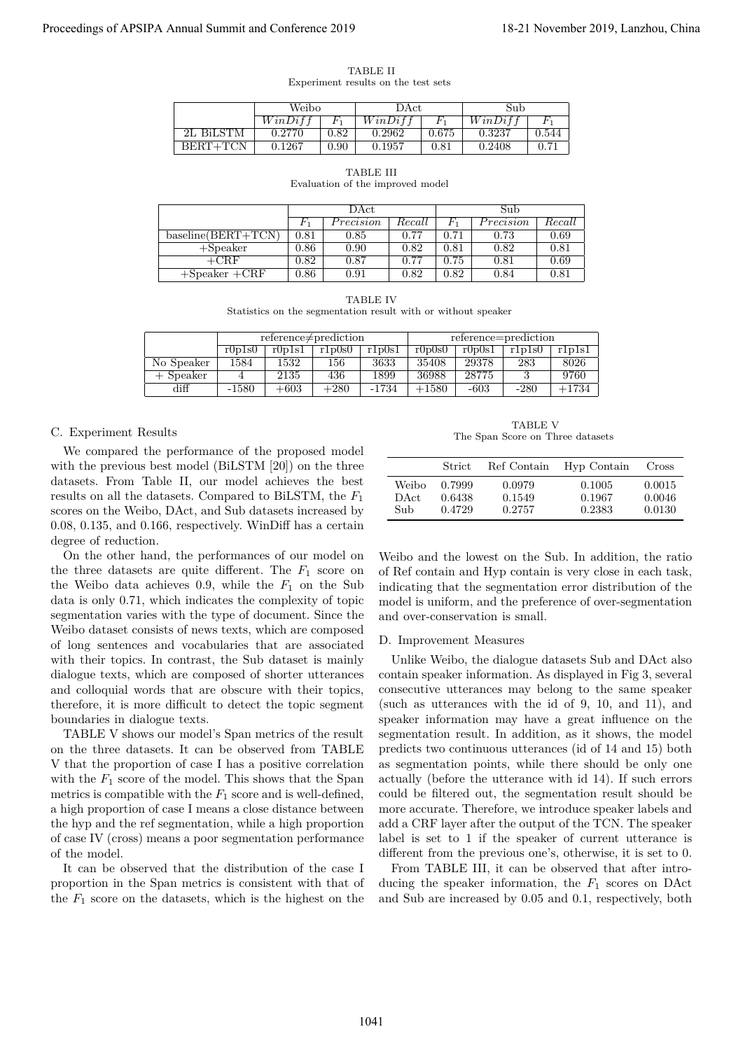|                                     | <b>TABLE II</b> |  |  |
|-------------------------------------|-----------------|--|--|
| Experiment results on the test sets |                 |  |  |

|           | Weibo   |                | DAct    |       | Sub    |       |  |
|-----------|---------|----------------|---------|-------|--------|-------|--|
|           | WinDiff |                | WinDiff |       | WinDif |       |  |
| 2L BiLSTM | 0.2770  | $\rm 0.82$     | 0.2962  | 0.675 | 0.3237 | 0.544 |  |
| BERT+TCN  | 0.1267  | $0.90^{\circ}$ | 0.1957  | 0.81  | 0.2408 | 0.71  |  |

| RL<br>., |  |
|----------|--|
|----------|--|

Evaluation of the improved model

|                      | DAct      |            |        | Sub        |           |        |  |
|----------------------|-----------|------------|--------|------------|-----------|--------|--|
|                      |           | Precision  | Recall | ŀ٦         | Precision | Recall |  |
| $baseline(BERT+TCN)$ | 0.81      | 0.85       | 0.77   | 0.71       | 0.73      | 0.69   |  |
| $+$ Speaker          | 0.86      | 0.90       | 0.82   | $_{0.81}$  | 0.82      | 0.81   |  |
| $+{\mathrm{CRF}}$    | 0.82      | 0.87       | 0.77   | $\rm 0.75$ | 0.81      | 0.69   |  |
| $+$ Speaker $+$ CRF  | $_{0.86}$ | $\rm 0.91$ | 0.82   | $\rm 0.82$ | 0.84      | 0.81   |  |

TABLE IV

Statistics on the segmentation result with or without speaker

|             |                                      |        | $reference \neq prediction$ |         | reference=prediction |        |        |         |  |
|-------------|--------------------------------------|--------|-----------------------------|---------|----------------------|--------|--------|---------|--|
|             | r1p0s1<br>r0p1s1<br>r1p0s0<br>r0p1s0 |        |                             |         | r0p0s0               | r0p0s1 | r1p1s0 | rlplsl  |  |
| No Speaker  | 1584                                 | 1532   | 156                         | 3633    | 35408                | 29378  | 283    | 8026    |  |
| $+$ Speaker |                                      | 2135   | 436                         | 1899    | 36988                | 28775  |        | 9760    |  |
| diff        | $-1580$                              | $+603$ | $+280$                      | $-1734$ | $+1580$              | $-603$ | $-280$ | $+1734$ |  |

#### C. Experiment Results

We compared the performance of the proposed model with the previous best model (BiLSTM [20]) on the three datasets. From Table II, our model achieves the best results on all the datasets. Compared to BiLSTM, the *F*<sup>1</sup> scores on the Weibo, DAct, and Sub datasets increased by 0.08, 0.135, and 0.166, respectively. WinDiff has a certain degree of reduction.

On the other hand, the performances of our model on the three datasets are quite different. The  $F_1$  score on the Weibo data achieves  $0.9$ , while the  $F_1$  on the Sub data is only 0.71, which indicates the complexity of topic segmentation varies with the type of document. Since the Weibo dataset consists of news texts, which are composed of long sentences and vocabularies that are associated with their topics. In contrast, the Sub dataset is mainly dialogue texts, which are composed of shorter utterances and colloquial words that are obscure with their topics, therefore, it is more difficult to detect the topic segment boundaries in dialogue texts.

TABLE V shows our model's Span metrics of the result on the three datasets. It can be observed from TABLE V that the proportion of case I has a positive correlation with the  $F_1$  score of the model. This shows that the Span metrics is compatible with the  $F_1$  score and is well-defined, a high proportion of case I means a close distance between the hyp and the ref segmentation, while a high proportion of case IV (cross) means a poor segmentation performance of the model.

It can be observed that the distribution of the case I proportion in the Span metrics is consistent with that of the  $F_1$  score on the datasets, which is the highest on the

TABLE V The Span Score on Three datasets

|           | <b>Strict</b> | Ref Contain | Hyp Contain | Cross  |
|-----------|---------------|-------------|-------------|--------|
| Weibo     | 0.7999        | 0.0979      | 0.1005      | 0.0015 |
| DAct.     | 0.6438        | 0.1549      | 0.1967      | 0.0046 |
| $\rm Sub$ | 0.4729        | 0.2757      | 0.2383      | 0.0130 |

Weibo and the lowest on the Sub. In addition, the ratio of Ref contain and Hyp contain is very close in each task, indicating that the segmentation error distribution of the model is uniform, and the preference of over-segmentation and over-conservation is small.

#### D. Improvement Measures

Unlike Weibo, the dialogue datasets Sub and DAct also contain speaker information. As displayed in Fig 3, several consecutive utterances may belong to the same speaker (such as utterances with the id of 9, 10, and 11), and speaker information may have a great influence on the segmentation result. In addition, as it shows, the model predicts two continuous utterances (id of 14 and 15) both as segmentation points, while there should be only one actually (before the utterance with id 14). If such errors could be filtered out, the segmentation result should be more accurate. Therefore, we introduce speaker labels and add a CRF layer after the output of the TCN. The speaker label is set to 1 if the speaker of current utterance is different from the previous one's, otherwise, it is set to 0. Proceedings of APSIPA Annual Summit at Conference 2019<br>
Proceedings of APSIPA Annual Summit and Conference 2019<br>
Proceedings of APSIPA Annual Summit and Conference 2019<br>
Proceeding the conference 2019 18-21 November 2019<br>

From TABLE III, it can be observed that after introducing the speaker information, the  $F_1$  scores on DAct and Sub are increased by 0.05 and 0.1, respectively, both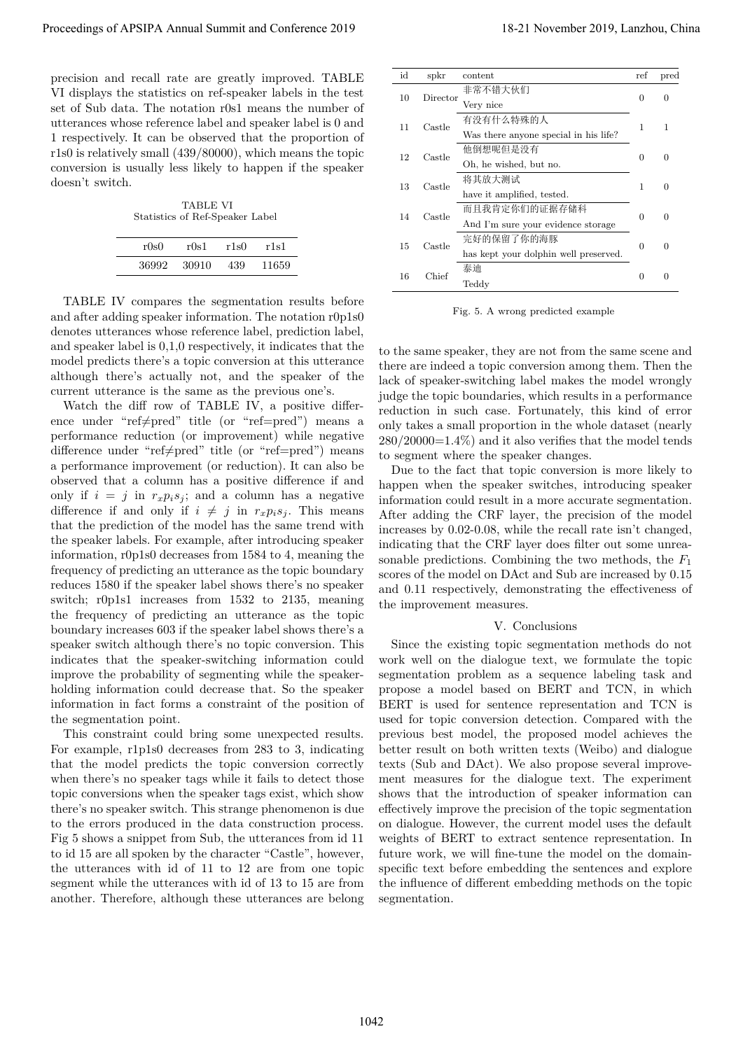precision and recall rate are greatly improved. TABLE VI displays the statistics on ref-speaker labels in the test set of Sub data. The notation r0s1 means the number of utterances whose reference label and speaker label is 0 and 1 respectively. It can be observed that the proportion of r1s0 is relatively small (439/80000), which means the topic conversion is usually less likely to happen if the speaker doesn't switch.

TABLE VI Statistics of Ref-Speaker Label

| r0s0  | r0s1   | r1s0 | r1s1  |
|-------|--------|------|-------|
| 36992 | -30910 | 439  | 11659 |

TABLE IV compares the segmentation results before and after adding speaker information. The notation r0p1s0 denotes utterances whose reference label, prediction label, and speaker label is 0,1,0 respectively, it indicates that the model predicts there's a topic conversion at this utterance although there's actually not, and the speaker of the current utterance is the same as the previous one's.

Watch the diff row of TABLE IV, a positive difference under "ref≠pred" title (or "ref=pred") means a performance reduction (or improvement) while negative difference under "ref≠pred" title (or "ref=pred") means a performance improvement (or reduction). It can also be observed that a column has a positive difference if and only if  $i = j$  in  $r_x p_i s_j$ ; and a column has a negative difference if and only if  $i \neq j$  in  $r_x p_i s_j$ . This means that the prediction of the model has the same trend with the speaker labels. For example, after introducing speaker information, r0p1s0 decreases from 1584 to 4, meaning the frequency of predicting an utterance as the topic boundary reduces 1580 if the speaker label shows there's no speaker switch; r0p1s1 increases from 1532 to 2135, meaning the frequency of predicting an utterance as the topic boundary increases 603 if the speaker label shows there's a speaker switch although there's no topic conversion. This indicates that the speaker-switching information could improve the probability of segmenting while the speakerholding information could decrease that. So the speaker information in fact forms a constraint of the position of the segmentation point. Proceedings of APSIPA Annual Summit and Conference 2019<br>
Proceedings of APSIPA Annual Summit and Conference 2019,  $\frac{1}{2}$ <br>
The distribution of  $\pi$  Conference 2019, Europe 1920, and the form of  $\pi$ <br>
The distribution of

This constraint could bring some unexpected results. For example, r1p1s0 decreases from 283 to 3, indicating that the model predicts the topic conversion correctly when there's no speaker tags while it fails to detect those topic conversions when the speaker tags exist, which show there's no speaker switch. This strange phenomenon is due to the errors produced in the data construction process. Fig 5 shows a snippet from Sub, the utterances from id 11 to id 15 are all spoken by the character "Castle", however, the utterances with id of 11 to 12 are from one topic segment while the utterances with id of 13 to 15 are from another. Therefore, although these utterances are belong

| id | spkr     | content                                             | ref | pred     |
|----|----------|-----------------------------------------------------|-----|----------|
| 10 | Director | 非常不错大伙们<br>Very nice                                | 0   | $\Omega$ |
| 11 | Castle   | 有没有什么特殊的人<br>Was there anyone special in his life?  | 1   | 1        |
| 12 | Castle   | 他倒想呢但是没有<br>Oh, he wished, but no.                  | 0   | $\Omega$ |
| 13 | Castle   | 将其放大测试<br>have it amplified, tested.                | 1   | ∩        |
| 14 | Castle   | 而且我肯定你们的证据存储科<br>And I'm sure your evidence storage | 0   | ∩        |
| 15 | Castle   | 完好的保留了你的海豚<br>has kept your dolphin well preserved. | 0   | $\Omega$ |
| 16 | Chief    | 泰迪<br>Teddy                                         | 0   | 0        |

Fig. 5. A wrong predicted example

to the same speaker, they are not from the same scene and there are indeed a topic conversion among them. Then the lack of speaker-switching label makes the model wrongly judge the topic boundaries, which results in a performance reduction in such case. Fortunately, this kind of error only takes a small proportion in the whole dataset (nearly  $280/20000=1.4\%$  and it also verifies that the model tends to segment where the speaker changes.

Due to the fact that topic conversion is more likely to happen when the speaker switches, introducing speaker information could result in a more accurate segmentation. After adding the CRF layer, the precision of the model increases by 0.02-0.08, while the recall rate isn't changed, indicating that the CRF layer does filter out some unreasonable predictions. Combining the two methods, the *F*<sup>1</sup> scores of the model on DAct and Sub are increased by 0.15 and 0.11 respectively, demonstrating the effectiveness of the improvement measures.

#### V. Conclusions

Since the existing topic segmentation methods do not work well on the dialogue text, we formulate the topic segmentation problem as a sequence labeling task and propose a model based on BERT and TCN, in which BERT is used for sentence representation and TCN is used for topic conversion detection. Compared with the previous best model, the proposed model achieves the better result on both written texts (Weibo) and dialogue texts (Sub and DAct). We also propose several improvement measures for the dialogue text. The experiment shows that the introduction of speaker information can effectively improve the precision of the topic segmentation on dialogue. However, the current model uses the default weights of BERT to extract sentence representation. In future work, we will fine-tune the model on the domainspecific text before embedding the sentences and explore the influence of different embedding methods on the topic segmentation.